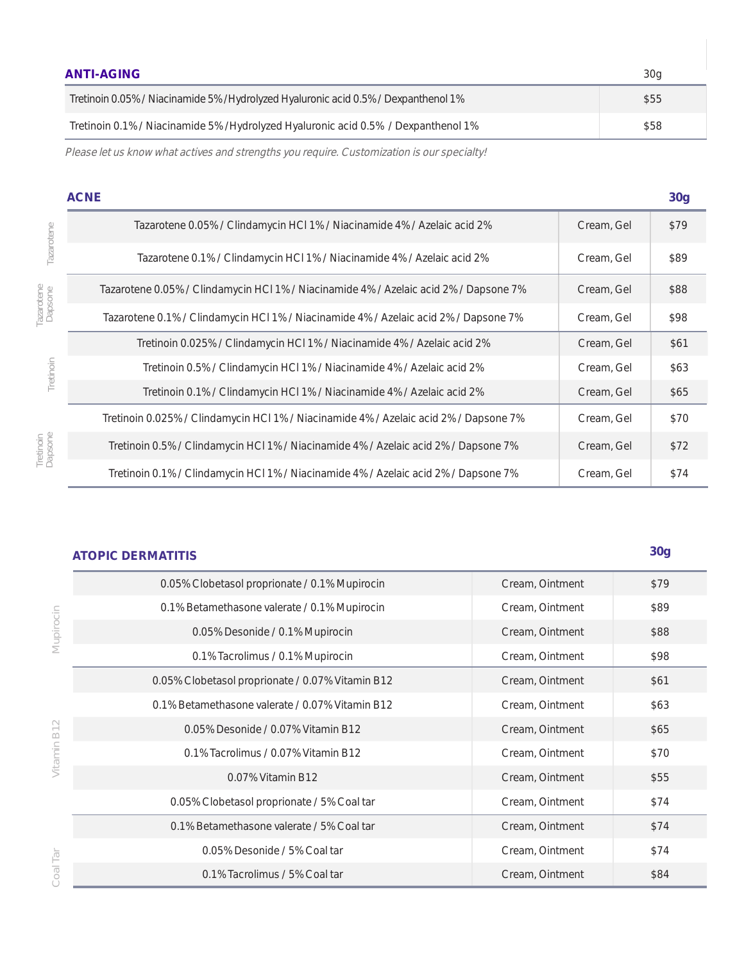| <b>ANTI-AGING</b>                                                                    | 30a |
|--------------------------------------------------------------------------------------|-----|
| Tretinoin 0.05% / Niacinamide 5% / Hydrolyzed Hyaluronic acid 0.5% / Dexpanthenol 1% | S55 |
| Tretinoin 0.1% / Niacinamide 5% / Hydrolyzed Hyaluronic acid 0.5% / Dexpanthenol 1%  | S58 |

Please let us know what actives and strengths you require. Customization is our specialty!

|                       | <b>ACNE</b>                                                                           |            | 30 <sub>g</sub> |
|-----------------------|---------------------------------------------------------------------------------------|------------|-----------------|
| Tazarotene            | Tazarotene 0.05% / Clindamycin HCl 1% / Niacinamide 4% / Azelaic acid 2%              | Cream, Gel | \$79            |
|                       | Tazarotene 0.1% / Clindamycin HCl 1% / Niacinamide 4% / Azelaic acid 2%               | Cream, Gel | \$89            |
| Tazarotene<br>Dapsone | Tazarotene 0.05% / Clindamycin HCl 1% / Niacinamide 4% / Azelaic acid 2% / Dapsone 7% | Cream, Gel | \$88            |
|                       | Tazarotene 0.1% / Clindamycin HCl 1% / Niacinamide 4% / Azelaic acid 2% / Dapsone 7%  | Cream, Gel | \$98            |
|                       | Tretinoin 0.025% / Clindamycin HCl 1% / Niacinamide 4% / Azelaic acid 2%              | Cream, Gel | \$61            |
| Tretinoin             | Tretinoin 0.5% / Clindamycin HCl 1% / Niacinamide 4% / Azelaic acid 2%                | Cream, Gel | \$63            |
|                       | Tretinoin 0.1% / Clindamycin HCl 1% / Niacinamide 4% / Azelaic acid 2%                | Cream, Gel | \$65            |
|                       | Tretinoin 0.025% / Clindamycin HCl 1% / Niacinamide 4% / Azelaic acid 2% / Dapsone 7% | Cream, Gel | \$70            |
| Tretinoin<br>Dapsone  | Tretinoin 0.5% / Clindamycin HCl 1% / Niacinamide 4% / Azelaic acid 2% / Dapsone 7%   | Cream, Gel | <b>\$72</b>     |
|                       | Tretinoin 0.1% / Clindamycin HCl 1% / Niacinamide 4% / Azelaic acid 2% / Dapsone 7%   | Cream, Gel | \$74            |

## **ATOPIC DERMATITIS 30g**

| 0.05% Clobetasol proprionate / 0.1% Mupirocin    | Cream, Ointment | \$79 |
|--------------------------------------------------|-----------------|------|
| 0.1% Betamethasone valerate / 0.1% Mupirocin     | Cream, Ointment | \$89 |
| 0.05% Desonide / 0.1% Mupirocin                  | Cream, Ointment | \$88 |
| 0.1% Tacrolimus / 0.1% Mupirocin                 | Cream, Ointment | \$98 |
| 0.05% Clobetasol proprionate / 0.07% Vitamin B12 | Cream, Ointment | \$61 |
| 0.1% Betamethasone valerate / 0.07% Vitamin B12  | Cream, Ointment | \$63 |
| 0.05% Desonide / 0.07% Vitamin B12               | Cream, Ointment | \$65 |
| 0.1% Tacrolimus / 0.07% Vitamin B12              | Cream, Ointment | \$70 |
| 0.07% Vitamin B12                                | Cream, Ointment | \$55 |
| 0.05% Clobetasol proprionate / 5% Coal tar       | Cream, Ointment | \$74 |
| 0.1% Betamethasone valerate / 5% Coal tar        | Cream, Ointment | \$74 |
| 0.05% Desonide / 5% Coal tar                     | Cream, Ointment | \$74 |
| 0.1% Tacrolimus / 5% Coal tar                    | Cream, Ointment | \$84 |

Mupirocin **Mupirocin**

Vitamin B12 **Vitamin B12**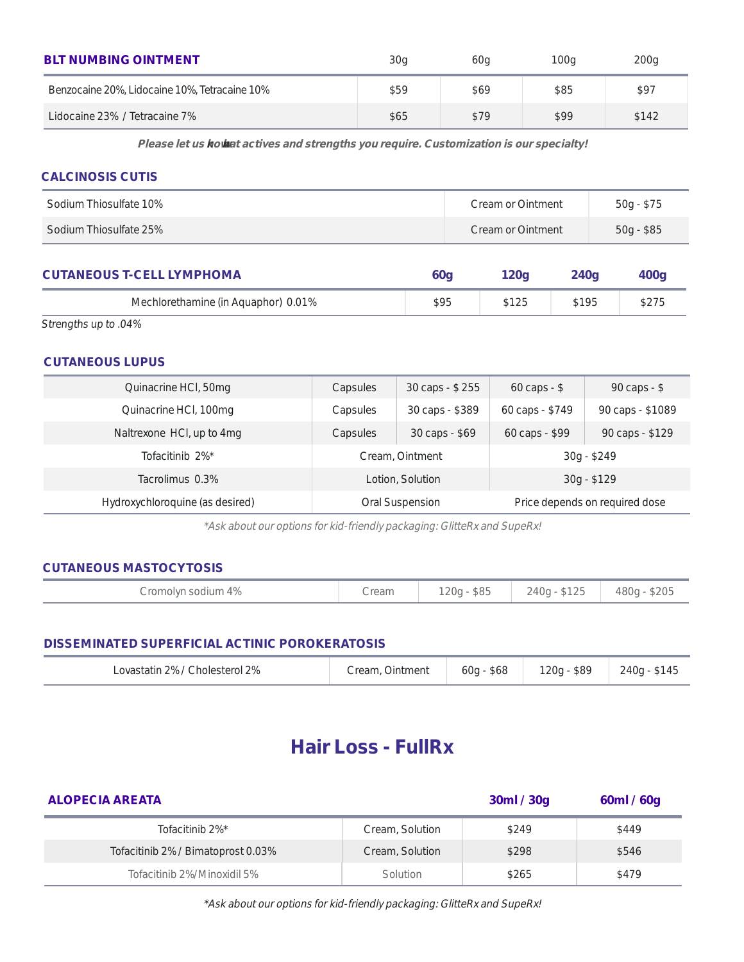| <b>BLT NUMBING OINTMENT</b>                   | 30 <sub>q</sub> | 60a         | 100 <sub>q</sub> | 200 <sub>q</sub> |
|-----------------------------------------------|-----------------|-------------|------------------|------------------|
| Benzocaine 20%, Lidocaine 10%, Tetracaine 10% | <b>\$59</b>     | \$69        | <b>\$85</b>      | \$97             |
| Lidocaine 23% / Tetracaine 7%                 | <b>S65</b>      | <b>\$79</b> | <b>\$99</b>      | <b>S142</b>      |

Please let us know what actives and strengths you require. Customization is our specialty!

## **CALCINOSIS CUTIS**

| Sodium Thiosulfate 10% | Cream or Ointment | 50g - \$75  |
|------------------------|-------------------|-------------|
| Sodium Thiosulfate 25% | Cream or Ointment | $50g - $85$ |

| <b>CUTANEOUS T-CELL LYMPHOMA</b>    | <b>60a</b> | 120a | 240a | 400q |
|-------------------------------------|------------|------|------|------|
| Mechlorethamine (in Aquaphor) 0.01% | S95        | S125 | S195 | S275 |

Strengths up to .04%

## **CUTANEOUS LUPUS**

| Quinacrine HCl, 50mg            | 30 caps - \$255<br>Capsules |  | $60 \text{ caps} - $$          | $90 \text{ caps} - $$ |
|---------------------------------|-----------------------------|--|--------------------------------|-----------------------|
| Quinacrine HCl, 100mg           | 30 caps - \$389<br>Capsules |  | 60 caps - \$749                | 90 caps - \$1089      |
| Naltrexone HCl, up to 4mg       | 30 caps - \$69<br>Capsules  |  | 60 caps - \$99                 | 90 caps - \$129       |
| Tofacitinib 2%*                 | Cream, Ointment             |  | 30g - \$249                    |                       |
| Tacrolimus 0.3%                 | Lotion, Solution            |  | $30g - $129$                   |                       |
| Hydroxychloroquine (as desired) | Oral Suspension             |  | Price depends on required dose |                       |

\*Ask about our options for kid-friendly packaging: GlitteRx and SupeRx!

## **CUTANEOUS MASTOCYTOSIS**

|--|

### **DISSEMINATED SUPERFICIAL ACTINIC POROKERATOSIS**

| Lovastatin 2% / Cholesterol 2% | Cream, Ointment | $60q - $68$ | 120g - \$89 | 240g - \$145 |
|--------------------------------|-----------------|-------------|-------------|--------------|
|--------------------------------|-----------------|-------------|-------------|--------------|

# **Hair Loss - FullRx**

| <b>ALOPECIA AREATA</b>             |                 | 30 <sub>ml</sub> / 30 <sub>g</sub> | 60ml / 60g   |
|------------------------------------|-----------------|------------------------------------|--------------|
| Tofacitinib 2%*                    | Cream, Solution | <b>\$249</b>                       | <b>\$449</b> |
| Tofacitinib 2% / Bimatoprost 0.03% | Cream, Solution | <b>\$298</b>                       | <b>\$546</b> |
| Tofacitinib 2%/Minoxidil 5%        | Solution        | \$265                              | \$479        |

\*Ask about our options for kid-friendly packaging: GlitteRx and SupeRx!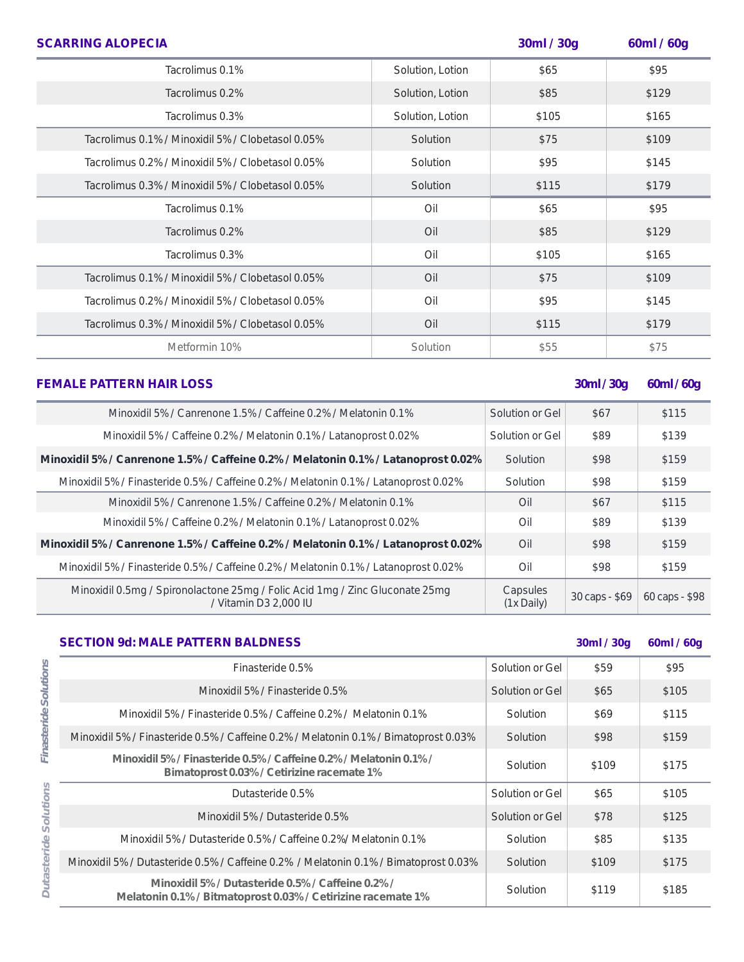| <b>SCARRING ALOPECIA</b>                          |                  | 30ml / 30g | 60ml / 60g |
|---------------------------------------------------|------------------|------------|------------|
| Tacrolimus 0.1%                                   | Solution, Lotion | \$65       | \$95       |
| Tacrolimus 0.2%                                   | Solution, Lotion | \$85       | \$129      |
| Tacrolimus 0.3%                                   | Solution, Lotion | \$105      | \$165      |
| Tacrolimus 0.1% / Minoxidil 5% / Clobetasol 0.05% | Solution         | \$75       | \$109      |
| Tacrolimus 0.2% / Minoxidil 5% / Clobetasol 0.05% | Solution         | \$95       | \$145      |
| Tacrolimus 0.3% / Minoxidil 5% / Clobetasol 0.05% | Solution         | \$115      | \$179      |
| Tacrolimus 0.1%                                   | Oil              | \$65       | \$95       |
| Tacrolimus 0.2%                                   | Oil              | \$85       | \$129      |
| Tacrolimus 0.3%                                   | Oil              | \$105      | \$165      |
| Tacrolimus 0.1% / Minoxidil 5% / Clobetasol 0.05% | Oil              | \$75       | \$109      |
| Tacrolimus 0.2% / Minoxidil 5% / Clobetasol 0.05% | Oil              | \$95       | \$145      |
| Tacrolimus 0.3% / Minoxidil 5% / Clobetasol 0.05% | Oil              | \$115      | \$179      |
| Metformin 10%                                     | Solution         | \$55       | \$75       |

| <b>FEMALE PATTERN HAIR LOSS</b>                                                                       |                          | 30ml / 30g     | 60ml/60g       |
|-------------------------------------------------------------------------------------------------------|--------------------------|----------------|----------------|
| Minoxidil 5% / Canrenone 1.5% / Caffeine 0.2% / Melatonin 0.1%                                        | Solution or Gel          | <b>\$67</b>    | <b>S115</b>    |
| Minoxidil 5% / Caffeine 0.2% / Melatonin 0.1% / Latanoprost 0.02%                                     | Solution or Gel          | <b>\$89</b>    | \$139          |
| Minoxidil 5% / Canrenone 1.5% / Caffeine 0.2% / Melatonin 0.1% / Latanoprost 0.02%                    | Solution                 | <b>\$98</b>    | \$159          |
| Minoxidil 5% / Finasteride 0.5% / Caffeine 0.2% / Melatonin 0.1% / Latanoprost 0.02%                  | Solution                 | \$98           | \$159          |
| Minoxidil 5% / Canrenone 1.5% / Caffeine 0.2% / Melatonin 0.1%                                        | Oil                      | <b>S67</b>     | <b>\$115</b>   |
| Minoxidil 5% / Caffeine 0.2% / Melatonin 0.1% / Latanoprost 0.02%                                     | Oil                      | <b>\$89</b>    | \$139          |
| Minoxidil 5% / Canrenone 1.5% / Caffeine 0.2% / Melatonin 0.1% / Latanoprost 0.02%                    | Oil                      | <b>\$98</b>    | <b>\$159</b>   |
| Minoxidil 5% / Finasteride 0.5% / Caffeine 0.2% / Melatonin 0.1% / Latanoprost 0.02%                  | Oil                      | <b>\$98</b>    | \$159          |
| Minoxidil 0.5mg / Spironolactone 25mg / Folic Acid 1mg / Zinc Gluconate 25mg<br>/ Vitamin D3 2,000 IU | Capsules<br>$(1x$ Daily) | 30 caps - \$69 | 60 caps - \$98 |

| <b>SECTION 9d: MALE PATTERN BALDNESS</b> |  |
|------------------------------------------|--|
|------------------------------------------|--|

| <b>SECTION 9d: MALE PATTERN BALDNESS</b>                                                                        |                 | 30ml / 30g   | 60ml / 60g |
|-----------------------------------------------------------------------------------------------------------------|-----------------|--------------|------------|
| Finasteride 0.5%                                                                                                | Solution or Gel | <b>\$59</b>  | \$95       |
| Minoxidil 5% / Finasteride 0.5%                                                                                 | Solution or Gel | <b>S65</b>   | \$105      |
| Minoxidil 5% / Finasteride 0.5% / Caffeine 0.2% / Melatonin 0.1%                                                | Solution        | <b>S69</b>   | \$115      |
| Minoxidil 5% / Finasteride 0.5% / Caffeine 0.2% / Melatonin 0.1% / Bimatoprost 0.03%                            | Solution        | <b>\$98</b>  | \$159      |
| Minoxidil 5% / Finasteride 0.5% / Caffeine 0.2% / Melatonin 0.1% /<br>Bimatoprost 0.03%/ Cetirizine racemate 1% | Solution        | \$109        | \$175      |
| Dutasteride 0.5%                                                                                                | Solution or Gel | <b>\$65</b>  | \$105      |
| Minoxidil 5% / Dutasteride 0.5%                                                                                 | Solution or Gel | \$78         | \$125      |
| Minoxidil 5% / Dutasteride 0.5% / Caffeine 0.2%/ Melatonin 0.1%                                                 | Solution        | \$85         | \$135      |
| Minoxidil 5% / Dutasteride 0.5% / Caffeine 0.2% / Melatonin 0.1% / Bimatoprost 0.03%                            | Solution        | <b>\$109</b> | \$175      |
| Minoxidil 5% / Dutasteride 0.5% / Caffeine 0.2% /<br>Melatonin 0.1%/Bitmatoprost 0.03%/Cetirizine racemate 1%   | Solution        | S119         | \$185      |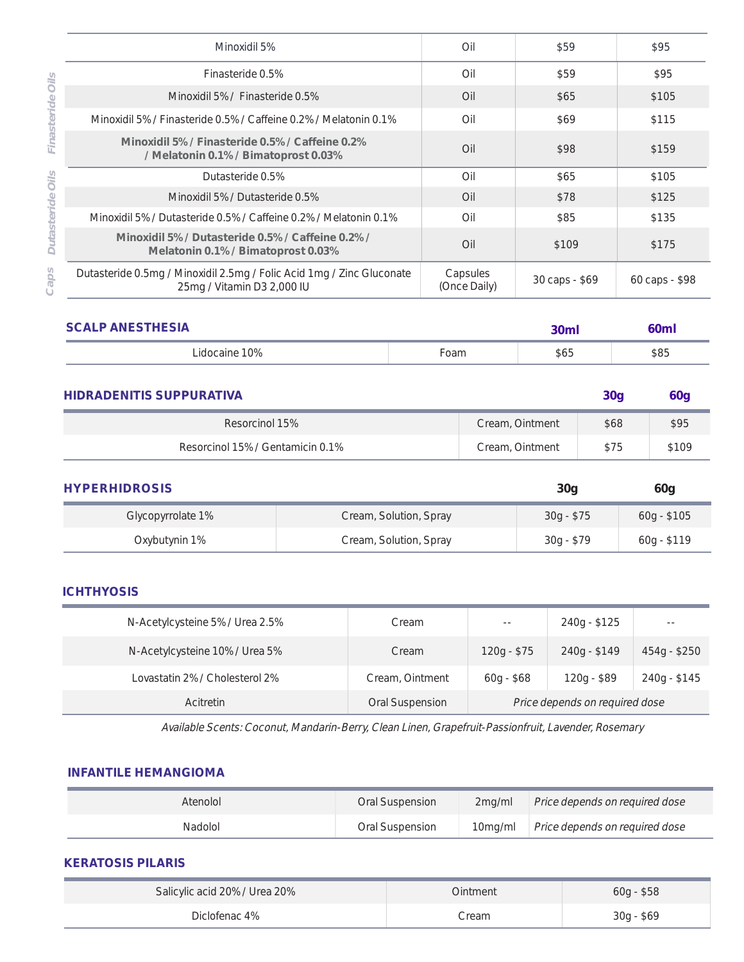|                    | Minoxidil 5%                                                                                        | Oil                      | \$59           | \$95           |
|--------------------|-----------------------------------------------------------------------------------------------------|--------------------------|----------------|----------------|
| oils               | Finasteride 0.5%                                                                                    | Oil                      | \$59           | \$95           |
|                    | Minoxidil 5% / Finasteride 0.5%                                                                     | Oil                      | <b>S65</b>     | \$105          |
| Finasteride        | Minoxidil 5% / Finasteride 0.5% / Caffeine 0.2% / Melatonin 0.1%                                    | Oil                      | <b>S69</b>     | \$115          |
|                    | Minoxidil 5% / Finasteride 0.5% / Caffeine 0.2%<br>/ Melatonin 0.1% / Bimatoprost 0.03%             | O <sub>1</sub>           | \$98           | \$159          |
| oils               | Dutasteride 0.5%                                                                                    | Oil                      | <b>S65</b>     | \$105          |
|                    | Minoxidil 5% / Dutasteride 0.5%                                                                     | Oil                      | <b>\$78</b>    | \$125          |
|                    | Minoxidil 5% / Dutasteride 0.5% / Caffeine 0.2% / Melatonin 0.1%                                    | Oil                      | <b>\$85</b>    | \$135          |
| <b>Dutasteride</b> | Minoxidil 5% / Dutasteride 0.5% / Caffeine 0.2% /<br>Melatonin 0.1% / Bimatoprost 0.03%             | O <sub>1</sub>           | \$109          | \$175          |
| Caps               | Dutasteride 0.5mg / Minoxidil 2.5mg / Folic Acid 1mg / Zinc Gluconate<br>25mg / Vitamin D3 2,000 IU | Capsules<br>(Once Daily) | 30 caps - \$69 | 60 caps - \$98 |

| <b>SCALP ANESTHESIA</b> |      | 30 <sub>m</sub> | <b>60ml</b> |
|-------------------------|------|-----------------|-------------|
| Lidocaine 10%           | Foam | \$65            | \$85        |

| <b>HIDRADENITIS SUPPURATIVA</b>  |                 | 30 <sub>a</sub> | 60a        |
|----------------------------------|-----------------|-----------------|------------|
| Resorcinol 15%                   | Cream, Ointment | \$68            | <b>S95</b> |
| Resorcinol 15% / Gentamicin 0.1% | Cream, Ointment | <b>S75</b>      | \$109      |

| <b>HYPERHIDROSIS</b> |                        | 30q         | 60g          |
|----------------------|------------------------|-------------|--------------|
| Glycopyrrolate 1%    | Cream, Solution, Spray | $30g - $75$ | $60g - $105$ |
| Oxybutynin 1%        | Cream, Solution, Spray | 30g - \$79  | 60g - \$119  |

## **ICHTHYOSIS**

| N-Acetylcysteine 5% / Urea 2.5% | Cream           | $- -$                          | 240g - \$125 | $\sim$ $-$   |
|---------------------------------|-----------------|--------------------------------|--------------|--------------|
| N-Acetylcysteine 10% / Urea 5%  | Cream           | $120g - $75$                   | 240g - \$149 | 454g - \$250 |
| Lovastatin 2% / Cholesterol 2%  | Cream, Ointment | $60g - $68$                    | $120g - $89$ | 240g - \$145 |
| Acitretin                       | Oral Suspension | Price depends on required dose |              |              |

Available Scents: Coconut, Mandarin-Berry, Clean Linen, Grapefruit-Passionfruit, Lavender, Rosemary

### **INFANTILE HEMANGIOMA**

| Atenolol | Oral Suspension | 2ma/ml | Price depends on required dose         |
|----------|-----------------|--------|----------------------------------------|
| Nadolol  | Oral Suspension |        | 10mg/ml Price depends on required dose |

## **KERATOSIS PILARIS**

| Salicylic acid 20% / Urea 20% | Ointment | 60g - \$58 |
|-------------------------------|----------|------------|
| Diclofenac 4%                 | Cream    | 30g - \$69 |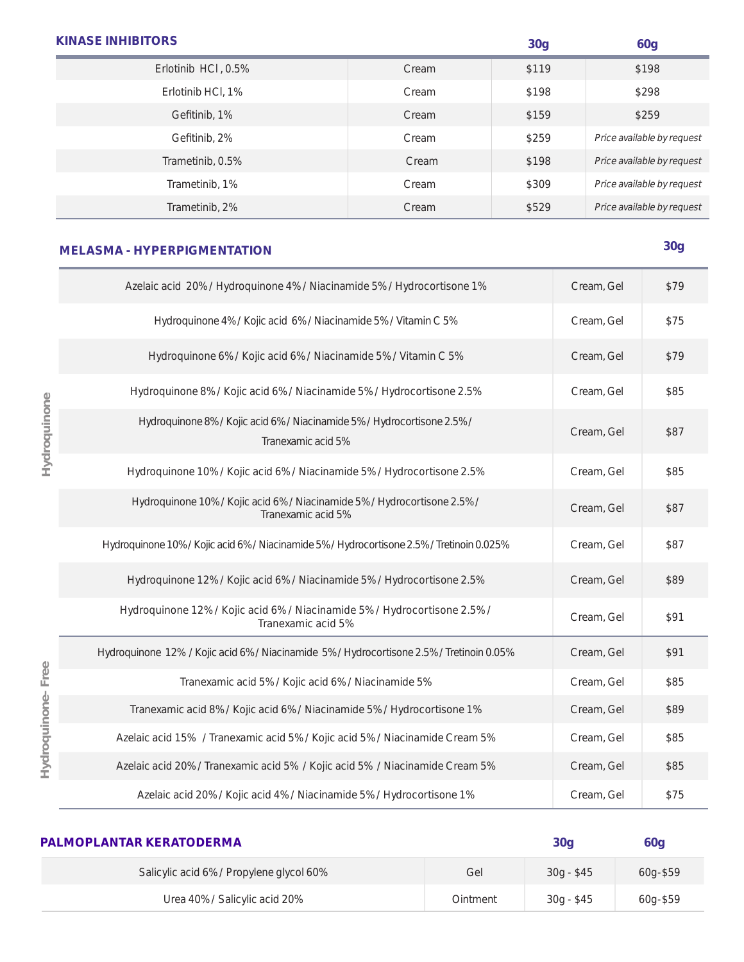| <b>KINASE INHIBITORS</b> |       | 30 <sub>g</sub> | <b>60g</b>                 |
|--------------------------|-------|-----------------|----------------------------|
| Erlotinib HCI, 0.5%      | Cream | \$119           | \$198                      |
| Erlotinib HCl, 1%        | Cream | \$198           | \$298                      |
| Gefitinib, 1%            | Cream | \$159           | \$259                      |
| Gefitinib, 2%            | Cream | \$259           | Price available by request |
| Trametinib, 0.5%         | Cream | \$198           | Price available by request |
| Trametinib, 1%           | Cream | \$309           | Price available by request |
| Trametinib, 2%           | Cream | \$529           | Price available by request |

# **MELASMA - HYPERPIGMENTATION 30g**

**Hydroquinone**

Hydroquinone

**Hydroquinone- Free**

Hydroquinone-Free

| Azelaic acid 20% / Hydroquinone 4% / Niacinamide 5% / Hydrocortisone 1%                         | Cream, Gel | \$79 |
|-------------------------------------------------------------------------------------------------|------------|------|
| Hydroquinone 4% / Kojic acid 6% / Niacinamide 5% / Vitamin C 5%                                 | Cream, Gel | \$75 |
| Hydroquinone 6% / Kojic acid 6% / Niacinamide 5% / Vitamin C 5%                                 | Cream, Gel | \$79 |
| Hydroquinone 8% / Kojic acid 6% / Niacinamide 5% / Hydrocortisone 2.5%                          | Cream, Gel | \$85 |
| Hydroquinone 8% / Kojic acid 6% / Niacinamide 5% / Hydrocortisone 2.5% /<br>Tranexamic acid 5%  | Cream, Gel | \$87 |
| Hydroquinone 10% / Kojic acid 6% / Niacinamide 5% / Hydrocortisone 2.5%                         | Cream, Gel | \$85 |
| Hydroquinone 10% / Kojic acid 6% / Niacinamide 5% / Hydrocortisone 2.5% /<br>Tranexamic acid 5% | Cream, Gel | \$87 |
| Hydroquinone 10% / Kojic acid 6% / Niacinamide 5% / Hydrocortisone 2.5% / Tretinoin 0.025%      | Cream, Gel | \$87 |
| Hydroquinone 12% / Kojic acid 6% / Niacinamide 5% / Hydrocortisone 2.5%                         | Cream, Gel | \$89 |
| Hydroquinone 12% / Kojic acid 6% / Niacinamide 5% / Hydrocortisone 2.5% /<br>Tranexamic acid 5% | Cream, Gel | \$91 |
| Hydroquinone 12% / Kojic acid 6% / Niacinamide 5% / Hydrocortisone 2.5% / Tretinoin 0.05%       | Cream, Gel | \$91 |
| Tranexamic acid 5% / Kojic acid 6% / Niacinamide 5%                                             | Cream, Gel | \$85 |
| Tranexamic acid 8% / Kojic acid 6% / Niacinamide 5% / Hydrocortisone 1%                         | Cream, Gel | \$89 |
| Azelaic acid 15% / Tranexamic acid 5% / Kojic acid 5% / Niacinamide Cream 5%                    | Cream, Gel | \$85 |
| Azelaic acid 20% / Tranexamic acid 5% / Kojic acid 5% / Niacinamide Cream 5%                    | Cream, Gel | \$85 |
| Azelaic acid 20% / Kojic acid 4% / Niacinamide 5% / Hydrocortisone 1%                           | Cream, Gel | \$75 |

| PALMOPLANTAR KERATODERMA                 |          | 30q         | 60g      |
|------------------------------------------|----------|-------------|----------|
| Salicylic acid 6% / Propylene glycol 60% | Gel      | 30g - \$45  | 60g-\$59 |
| Urea 40% / Salicylic acid 20%            | Ointment | $30g - $45$ | 60g-\$59 |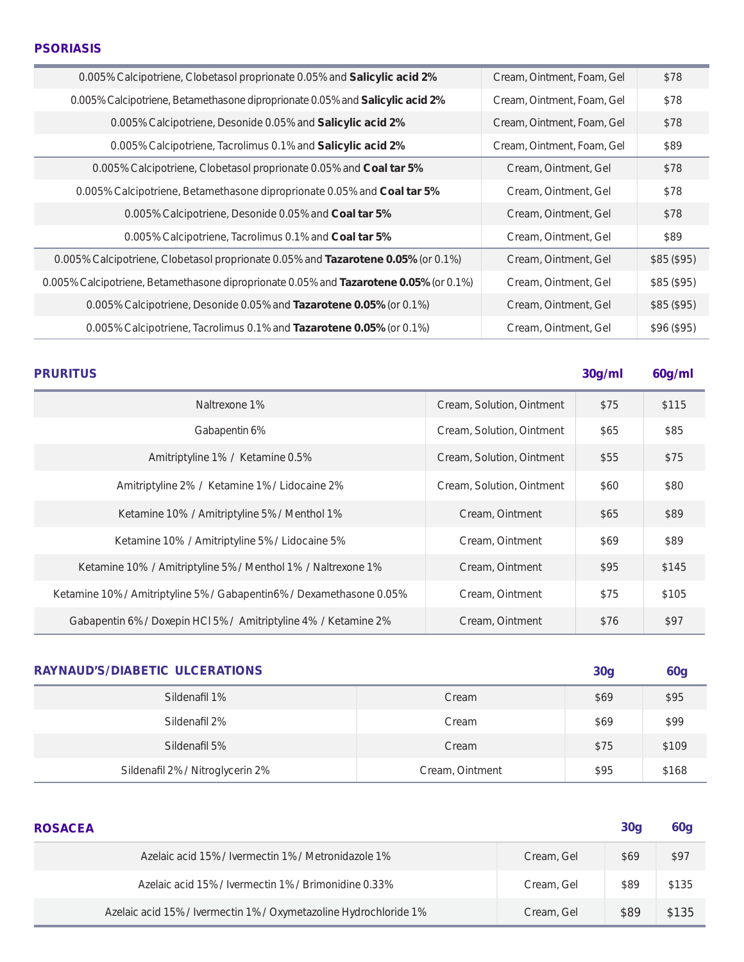| 0.005% Calcipotriene, Clobetasol proprionate 0.05% and Salicylic acid 2%               | Cream, Ointment, Foam, Gel | \$78       |
|----------------------------------------------------------------------------------------|----------------------------|------------|
| 0.005% Calcipotriene, Betamethasone diproprionate 0.05% and <b>Salicylic acid 2%</b>   | Cream, Ointment, Foam, Gel | \$78       |
| 0.005% Calcipotriene, Desonide 0.05% and Salicylic acid 2%                             | Cream, Ointment, Foam, Gel | \$78       |
| 0.005% Calcipotriene, Tacrolimus 0.1% and Salicylic acid 2%                            | Cream, Ointment, Foam, Gel | \$89       |
| 0.005% Calcipotriene, Clobetasol proprionate 0.05% and Coal tar 5%                     | Cream, Ointment, Gel       | \$78       |
| 0.005% Calcipotriene, Betamethasone diproprionate 0.05% and Coal tar 5%                | Cream, Ointment, Gel       | \$78       |
| 0.005% Calcipotriene, Desonide 0.05% and Coal tar 5%                                   | Cream, Ointment, Gel       | \$78       |
| 0.005% Calcipotriene, Tacrolimus 0.1% and Coal tar 5%                                  | Cream, Ointment, Gel       | \$89       |
| 0.005% Calcipotriene, Clobetasol proprionate 0.05% and Tazarotene 0.05% (or 0.1%)      | Cream, Ointment, Gel       | \$85(\$95) |
| 0.005% Calcipotriene, Betamethasone diproprionate 0.05% and Tazarotene 0.05% (or 0.1%) | Cream, Ointment, Gel       | \$85(\$95) |
| 0.005% Calcipotriene, Desonide 0.05% and Tazarotene 0.05% (or 0.1%)                    | Cream, Ointment, Gel       | \$85(\$95) |
| 0.005% Calcipotriene, Tacrolimus 0.1% and Tazarotene 0.05% (or 0.1%)                   | Cream, Ointment, Gel       | \$96(\$95) |

**PRURITUS 30g/ml 60g/ml**

| Naltrexone 1%                                                        | Cream, Solution, Ointment | \$75       | \$115        |
|----------------------------------------------------------------------|---------------------------|------------|--------------|
| Gabapentin 6%                                                        | Cream, Solution, Ointment | \$65       | \$85         |
| Amitriptyline 1% / Ketamine 0.5%                                     | Cream, Solution, Ointment | \$55       | \$75         |
| Amitriptyline 2% / Ketamine 1% / Lidocaine 2%                        | Cream, Solution, Ointment | \$60       | \$80         |
| Ketamine 10% / Amitriptyline 5% / Menthol 1%                         | Cream, Ointment           | <b>S65</b> | \$89         |
| Ketamine 10% / Amitriptyline 5% / Lidocaine 5%                       | Cream, Ointment           | <b>S69</b> | \$89         |
| Ketamine 10% / Amitriptyline 5% / Menthol 1% / Naltrexone 1%         | Cream, Ointment           | \$95       | <b>\$145</b> |
| Ketamine 10% / Amitriptyline 5% / Gabapentin6% / Dexamethasone 0.05% | Cream, Ointment           | <b>S75</b> | \$105        |
| Gabapentin 6% / Doxepin HCl 5% / Amitriptyline 4% / Ketamine 2%      | Cream, Ointment           | \$76       | \$97         |

| <b>RAYNAUD'S/DIABETIC ULCERATIONS</b> |                 | 30 <sub>g</sub> | <b>60g</b> |
|---------------------------------------|-----------------|-----------------|------------|
| Sildenafil 1%                         | Cream           | \$69            | \$95       |
| Sildenafil 2%                         | Cream           | \$69            | \$99       |
| Sildenafil 5%                         | Cream           | <b>\$75</b>     | \$109      |
| Sildenafil 2% / Nitroglycerin 2%      | Cream, Ointment | <b>\$95</b>     | \$168      |

| <b>ROSACEA</b>                                                    |            | 30 <sub>q</sub> | 60 <sub>g</sub> |
|-------------------------------------------------------------------|------------|-----------------|-----------------|
| Azelaic acid 15% / Ivermectin 1% / Metronidazole 1%               | Cream, Gel | \$69            | \$97            |
| Azelaic acid 15% / Ivermectin 1% / Brimonidine 0.33%              | Cream, Gel | \$89            | \$135           |
| Azelaic acid 15% / Ivermectin 1% / Oxymetazoline Hydrochloride 1% | Cream, Gel | <b>S89</b>      | \$135           |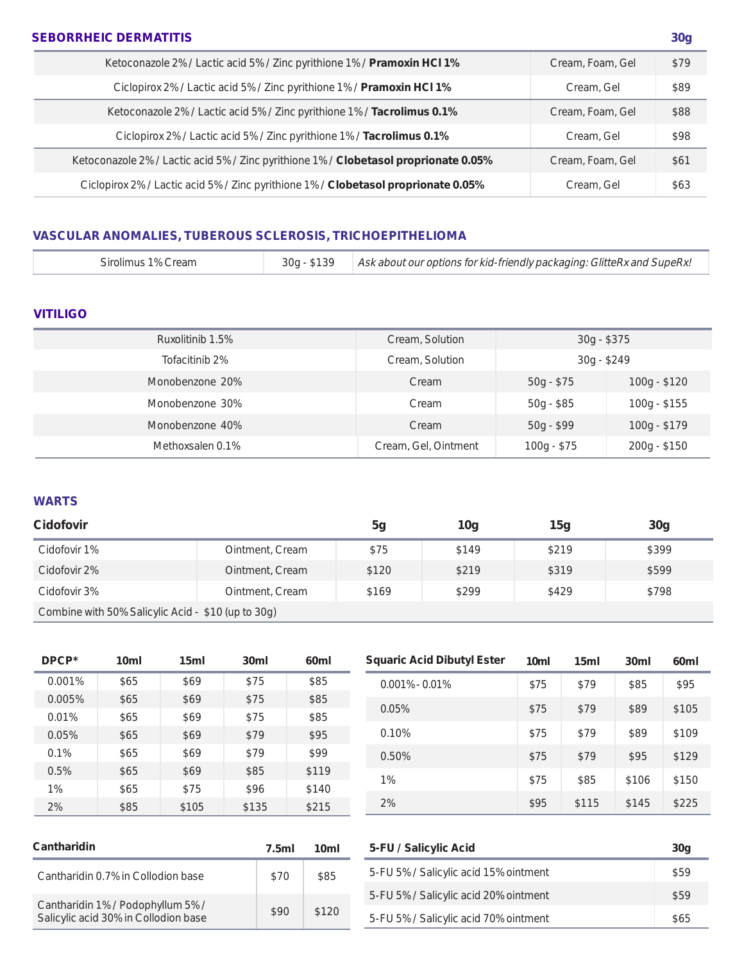## **SEBORRHEIC DERMATITIS 30g**

| Ketoconazole 2% / Lactic acid 5% / Zinc pyrithione 1% / Pramoxin HCl 1%              | Cream, Foam, Gel | \$79 |
|--------------------------------------------------------------------------------------|------------------|------|
| Ciclopirox 2% / Lactic acid 5% / Zinc pyrithione 1% / Pramoxin HCl 1%                | Cream, Gel       | \$89 |
| Ketoconazole 2% / Lactic acid 5% / Zinc pyrithione 1% / Tacrolimus 0.1%              | Cream, Foam, Gel | \$88 |
| Ciclopirox 2% / Lactic acid 5% / Zinc pyrithione 1% / Tacrolimus 0.1%                | Cream, Gel       | \$98 |
| Ketoconazole 2% / Lactic acid 5% / Zinc pyrithione 1% / Clobetasol proprionate 0.05% | Cream, Foam, Gel | \$61 |
| Ciclopirox 2% / Lactic acid 5% / Zinc pyrithione 1% / Clobetasol proprionate 0.05%   | Cream, Gel       | \$63 |

## **VASCULAR ANOMALIES, TUBEROUS SCLEROSIS, TRICHOEPITHELIOMA**

|  | Sirolimus 1% Cream |  | Ask about our options for kid-friendly packaging: GlitteRx and SupeRx! |
|--|--------------------|--|------------------------------------------------------------------------|
|--|--------------------|--|------------------------------------------------------------------------|

## **VITILIGO**

| Ruxolitinib 1.5% | Cream, Solution      | 30g - \$375  |               |
|------------------|----------------------|--------------|---------------|
| Tofacitinib 2%   | Cream, Solution      | $30g - $249$ |               |
| Monobenzone 20%  | Cream                | $50g - $75$  | $100g - $120$ |
| Monobenzone 30%  | Cream                | $50g - $85$  | $100g - $155$ |
| Monobenzone 40%  | Cream                | $50g - $99$  | $100g - $179$ |
| Methoxsalen 0.1% | Cream, Gel, Ointment | $100g - $75$ | $200g - $150$ |

## **WARTS**

| <b>Cidofovir</b>                                   |                 | 5g    | 10 <sub>g</sub> | 15g   | 30 <sub>g</sub> |  |
|----------------------------------------------------|-----------------|-------|-----------------|-------|-----------------|--|
| Cidofovir 1%                                       | Ointment, Cream | \$75  | <b>\$149</b>    | \$219 | \$399           |  |
| Cidofovir 2%                                       | Ointment, Cream | \$120 | \$219           | \$319 | \$599           |  |
| Cidofovir 3%                                       | Ointment, Cream | \$169 | \$299           | \$429 | \$798           |  |
| Combine with 50% Salicylic Acid - \$10 (up to 30g) |                 |       |                 |       |                 |  |

| DPCP*  | 10 <sub>ml</sub> | 15ml  | 30 <sub>ml</sub> | 60 <sub>ml</sub> | <b>Squaric Acid Dibutyl Ester</b> | 10 <sub>ml</sub> | 15ml  | 30 <sub>ml</sub> | 60 <sub>ml</sub> |
|--------|------------------|-------|------------------|------------------|-----------------------------------|------------------|-------|------------------|------------------|
| 0.001% | \$65             | \$69  | \$75             | \$85             | $0.001\% - 0.01\%$                | \$75             | \$79  | \$85             | \$95             |
| 0.005% | \$65             | \$69  | \$75             | \$85             |                                   |                  |       |                  |                  |
| 0.01%  | \$65             | \$69  | \$75             | \$85             | 0.05%                             | \$75             | \$79  | \$89             | \$105            |
| 0.05%  | \$65             | \$69  | \$79             | \$95             | 0.10%                             | \$75             | \$79  | \$89             | \$109            |
| 0.1%   | \$65             | \$69  | \$79             | \$99             | 0.50%                             | \$75             | \$79  | \$95             | \$129            |
| 0.5%   | \$65             | \$69  | \$85             | \$119            |                                   | \$75             |       | \$106            |                  |
| $1\%$  | \$65             | \$75  | \$96             | \$140            | $1\%$                             |                  | \$85  |                  | \$150            |
| 2%     | \$85             | \$105 | \$135            | \$215            | 2%                                | <b>\$95</b>      | \$115 | <b>\$145</b>     | \$225            |

| <b>Cantharidin</b>                                                        | 7.5ml       | 10 <sub>ml</sub> | 5-FU / Salicylic Acid                 | 30 <sub>q</sub> |
|---------------------------------------------------------------------------|-------------|------------------|---------------------------------------|-----------------|
| Cantharidin 0.7% in Collodion base                                        | \$70        | \$85             | 5-FU 5% / Salicylic acid 15% ointment | <b>\$59</b>     |
|                                                                           |             |                  | 5-FU 5% / Salicylic acid 20% ointment | \$59            |
| Cantharidin 1% / Podophyllum 5% /<br>Salicylic acid 30% in Collodion base | <b>\$90</b> | \$120            | 5-FU 5% / Salicylic acid 70% ointment | \$65            |